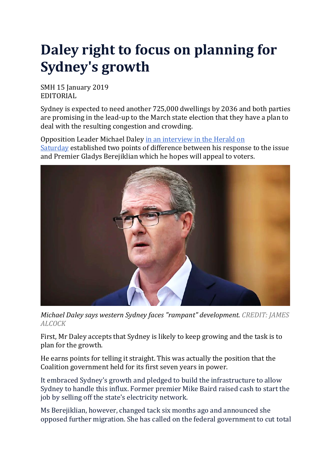## **Daley right to focus on planning for Sydney's growth**

SMH 15 January 2019 EDITORIAL

Sydney is expected to need another 725,000 dwellings by 2036 and both parties are promising in the lead-up to the March state election that they have a plan to deal with the resulting congestion and crowding.

Opposition Leader Michael Daley in an [interview](https://www.smh.com.au/national/nsw/parts-of-sydney-clobbered-by-unfair-housing-targets-daley-20190111-p50qs6.html) in the Herald on [Saturday](https://www.smh.com.au/national/nsw/parts-of-sydney-clobbered-by-unfair-housing-targets-daley-20190111-p50qs6.html) established two points of difference between his response to the issue and Premier Gladys Berejiklian which he hopes will appeal to voters[.](javascript:void(0);)



*Michael Daley says western Sydney faces "rampant" development. CREDIT: JAMES ALCOCK*

First, Mr Daley accepts that Sydney is likely to keep growing and the task is to plan for the growth.

He earns points for telling it straight. This was actually the position that the Coalition government held for its first seven years in power.

It embraced Sydney's growth and pledged to build the infrastructure to allow Sydney to handle this influx. Former premier Mike Baird raised cash to start the job by selling off the state's electricity network.

Ms Berejiklian, however, changed tack six months ago and announced she opposed further migration. She has called on the federal government to cut total